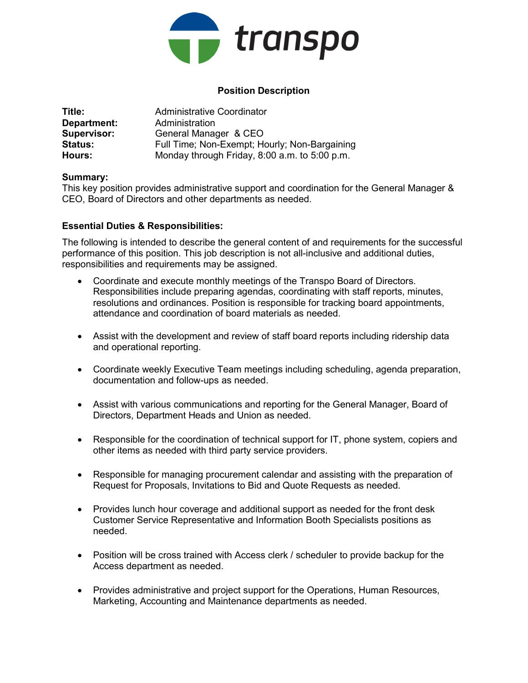

## Position Description

| Title:             | Administrative Coordinator                    |
|--------------------|-----------------------------------------------|
| Department:        | Administration                                |
| <b>Supervisor:</b> | General Manager & CEO                         |
| <b>Status:</b>     | Full Time; Non-Exempt; Hourly; Non-Bargaining |
| Hours:             | Monday through Friday, 8:00 a.m. to 5:00 p.m. |

## Summary:

This key position provides administrative support and coordination for the General Manager & CEO, Board of Directors and other departments as needed.

## Essential Duties & Responsibilities:

The following is intended to describe the general content of and requirements for the successful performance of this position. This job description is not all-inclusive and additional duties, responsibilities and requirements may be assigned.

- Coordinate and execute monthly meetings of the Transpo Board of Directors. Responsibilities include preparing agendas, coordinating with staff reports, minutes, resolutions and ordinances. Position is responsible for tracking board appointments, attendance and coordination of board materials as needed.
- Assist with the development and review of staff board reports including ridership data and operational reporting.
- Coordinate weekly Executive Team meetings including scheduling, agenda preparation, documentation and follow-ups as needed.
- Assist with various communications and reporting for the General Manager, Board of Directors, Department Heads and Union as needed.
- Responsible for the coordination of technical support for IT, phone system, copiers and other items as needed with third party service providers.
- Responsible for managing procurement calendar and assisting with the preparation of Request for Proposals, Invitations to Bid and Quote Requests as needed.
- Provides lunch hour coverage and additional support as needed for the front desk Customer Service Representative and Information Booth Specialists positions as needed.
- Position will be cross trained with Access clerk / scheduler to provide backup for the Access department as needed.
- Provides administrative and project support for the Operations, Human Resources, Marketing, Accounting and Maintenance departments as needed.